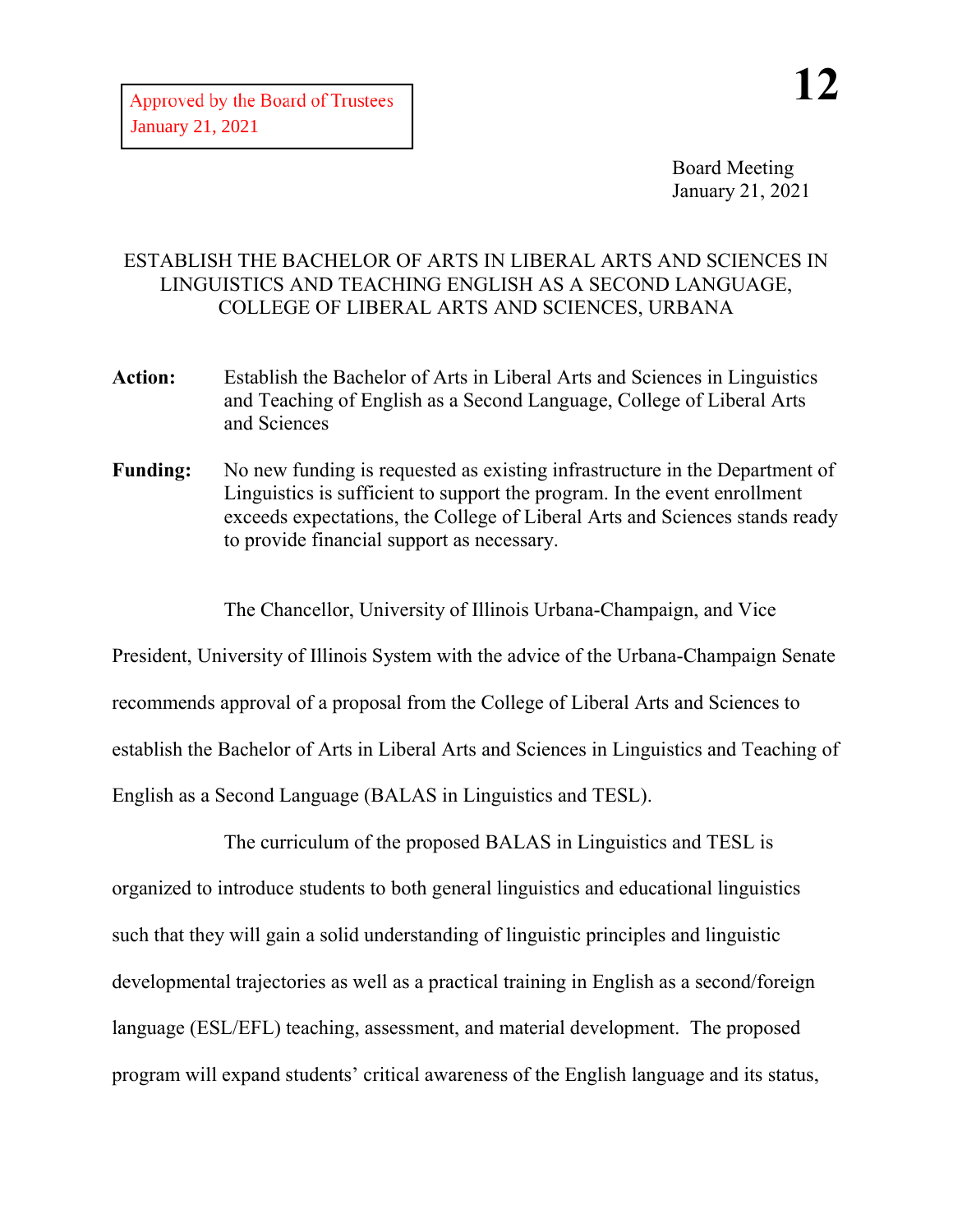Board Meeting January 21, 2021

## ESTABLISH THE BACHELOR OF ARTS IN LIBERAL ARTS AND SCIENCES IN LINGUISTICS AND TEACHING ENGLISH AS A SECOND LANGUAGE, COLLEGE OF LIBERAL ARTS AND SCIENCES, URBANA

- **Action:** Establish the Bachelor of Arts in Liberal Arts and Sciences in Linguistics and Teaching of English as a Second Language, College of Liberal Arts and Sciences
- **Funding:** No new funding is requested as existing infrastructure in the Department of Linguistics is sufficient to support the program. In the event enrollment exceeds expectations, the College of Liberal Arts and Sciences stands ready to provide financial support as necessary.

The Chancellor, University of Illinois Urbana-Champaign, and Vice

President, University of Illinois System with the advice of the Urbana-Champaign Senate recommends approval of a proposal from the College of Liberal Arts and Sciences to establish the Bachelor of Arts in Liberal Arts and Sciences in Linguistics and Teaching of English as a Second Language (BALAS in Linguistics and TESL).

The curriculum of the proposed BALAS in Linguistics and TESL is organized to introduce students to both general linguistics and educational linguistics such that they will gain a solid understanding of linguistic principles and linguistic developmental trajectories as well as a practical training in English as a second/foreign language (ESL/EFL) teaching, assessment, and material development. The proposed program will expand students' critical awareness of the English language and its status,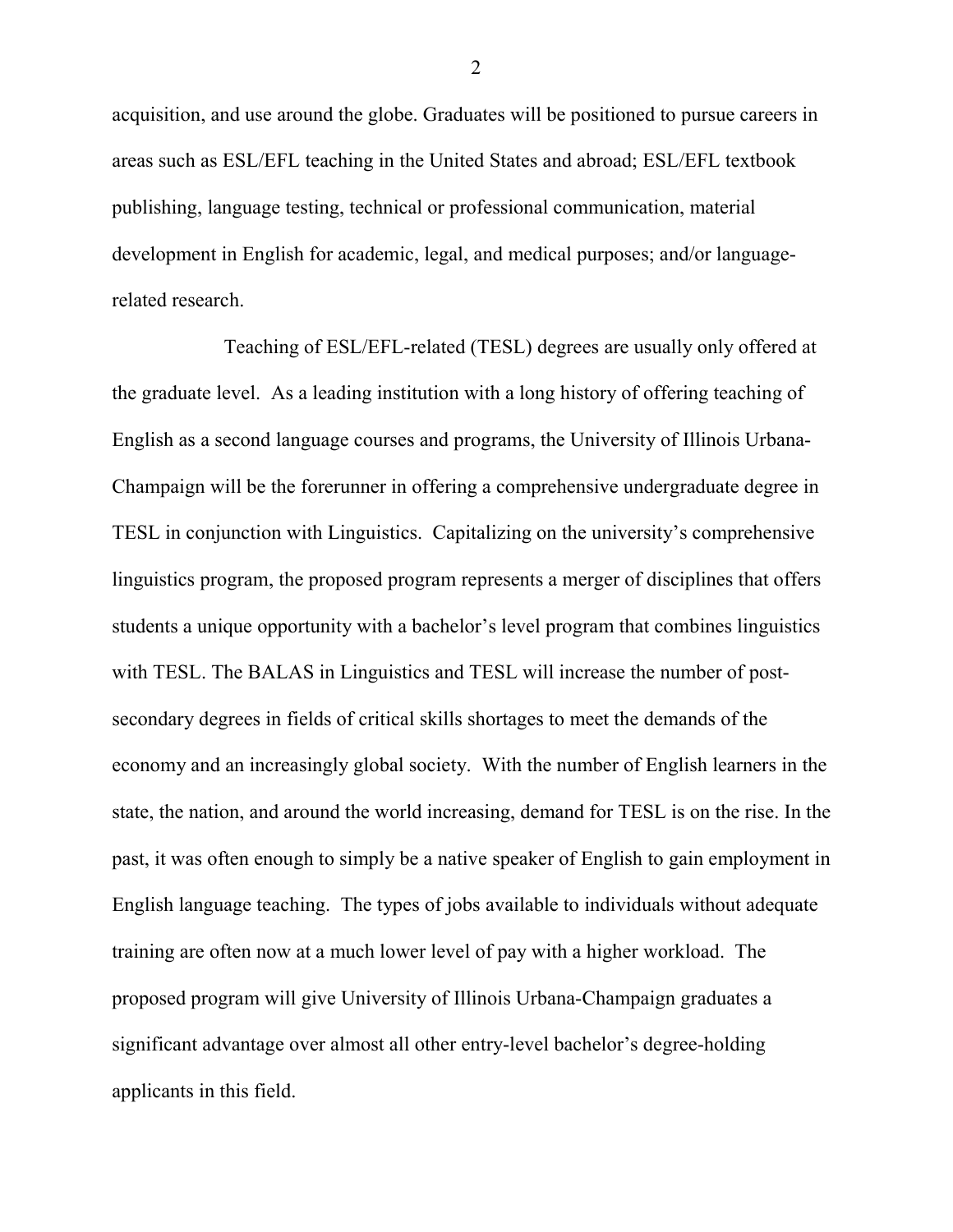acquisition, and use around the globe. Graduates will be positioned to pursue careers in areas such as ESL/EFL teaching in the United States and abroad; ESL/EFL textbook publishing, language testing, technical or professional communication, material development in English for academic, legal, and medical purposes; and/or languagerelated research.

Teaching of ESL/EFL-related (TESL) degrees are usually only offered at the graduate level. As a leading institution with a long history of offering teaching of English as a second language courses and programs, the University of Illinois Urbana-Champaign will be the forerunner in offering a comprehensive undergraduate degree in TESL in conjunction with Linguistics. Capitalizing on the university's comprehensive linguistics program, the proposed program represents a merger of disciplines that offers students a unique opportunity with a bachelor's level program that combines linguistics with TESL. The BALAS in Linguistics and TESL will increase the number of postsecondary degrees in fields of critical skills shortages to meet the demands of the economy and an increasingly global society. With the number of English learners in the state, the nation, and around the world increasing, demand for TESL is on the rise. In the past, it was often enough to simply be a native speaker of English to gain employment in English language teaching. The types of jobs available to individuals without adequate training are often now at a much lower level of pay with a higher workload. The proposed program will give University of Illinois Urbana-Champaign graduates a significant advantage over almost all other entry-level bachelor's degree-holding applicants in this field.

2